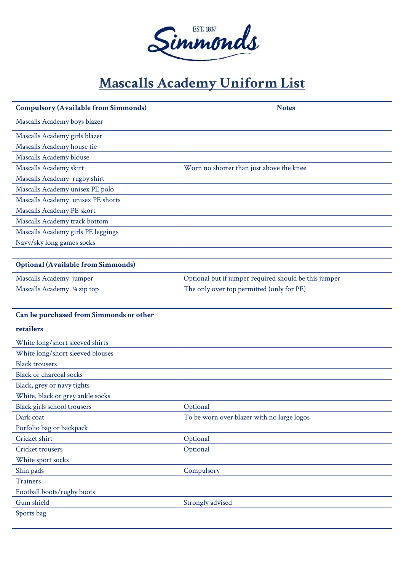

## **Mascalls Academy Uniform List**

| <b>Compulsory (Available from Simmonds)</b> | <b>Notes</b>                                          |
|---------------------------------------------|-------------------------------------------------------|
| Mascalls Academy boys blazer                |                                                       |
| Mascalls Academy girls blazer               |                                                       |
| Mascalls Academy house tie                  |                                                       |
| Mascalls Academy blouse                     |                                                       |
| Mascalls Academy skirt                      | Worn no shorter than just above the knee              |
| Mascalls Academy rugby shirt                |                                                       |
| Mascalls Academy unisex PE polo             |                                                       |
| Mascalls Academy unisex PE shorts           |                                                       |
| Mascalls Academy PE skort                   |                                                       |
| Mascalls Academy track bottom               |                                                       |
| Mascalls Academy girls PE leggings          |                                                       |
| Navy/sky long games socks                   |                                                       |
|                                             |                                                       |
| <b>Optional (Available from Simmonds)</b>   |                                                       |
| Mascalls Academy jumper                     | Optional but if jumper required should be this jumper |
| Mascalls Academy 1/4 zip top                | The only over top permitted (only for PE)             |
|                                             |                                                       |
| Can be purchased from Simmonds or other     |                                                       |
| retailers                                   |                                                       |
| White long/short sleeved shirts             |                                                       |
| White long/short sleeved blouses            |                                                       |
| <b>Black trousers</b>                       |                                                       |
| Black or charcoal socks                     |                                                       |
| Black, grey or navy tights                  |                                                       |
| White, black or grey ankle socks            |                                                       |
| Black girls school trousers                 | Optional                                              |
| Dark coat                                   | To be worn over blazer with no large logos            |
| Porfolio bag or backpack                    |                                                       |
| Cricket shirt                               | Optional                                              |
| Cricket trousers                            | Optional                                              |
| White sport socks                           |                                                       |
| Shin pads                                   | Compulsory                                            |
| <b>Trainers</b>                             |                                                       |
| Football boots/rugby boots                  |                                                       |
| Gum shield                                  | Strongly advised                                      |
| Sports bag                                  |                                                       |
|                                             |                                                       |